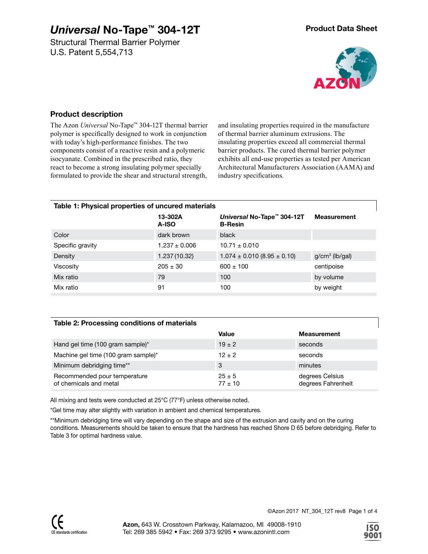Structural Thermal Barrier Polymer U.S. Patent 5,554,713



#### **Product description**

The Azon *Universal* No-Tape™ 304-12T thermal barrier polymer is specifically designed to work in conjunction with today's high-performance finishes. The two components consist of a reactive resin and a polymeric isocyanate. Combined in the prescribed ratio, they react to become a strong insulating polymer specially formulated to provide the shear and structural strength,

and insulating properties required in the manufacture of thermal barrier aluminum extrusions. The insulating properties exceed all commercial thermal barrier products. The cured thermal barrier polymer exhibits all end-use properties as tested per American Architectural Manufacturers Association (AAMA) and industry specifications.

| Table 1: Physical properties of uncured materials |                   |                                              |                    |  |  |  |
|---------------------------------------------------|-------------------|----------------------------------------------|--------------------|--|--|--|
|                                                   | 13-302A<br>A-ISO  | Universal No-Tape™ 304-12T<br><b>B-Resin</b> | <b>Measurement</b> |  |  |  |
| Color                                             | dark brown        | black                                        |                    |  |  |  |
| Specific gravity                                  | $1.237 \pm 0.006$ | $10.71 \pm 0.010$                            |                    |  |  |  |
| Density                                           | 1.237 (10.32)     | $1.074 \pm 0.010$ (8.95 $\pm$ 0.10)          | $g/cm3$ (lb/gal)   |  |  |  |
| Viscosity                                         | $205 \pm 30$      | $600 \pm 100$                                | centipoise         |  |  |  |
| Mix ratio                                         | 79                | 100                                          | by volume          |  |  |  |
| Mix ratio                                         | 91                | 100                                          | by weight          |  |  |  |

#### **Table 2: Processing conditions of materials**

|                                                        | Value                     | <b>Measurement</b>                    |
|--------------------------------------------------------|---------------------------|---------------------------------------|
| Hand gel time (100 gram sample)*                       | $19 \pm 2$                | seconds                               |
| Machine gel time (100 gram sample)*                    | $12 + 2$                  | seconds                               |
| Minimum debridging time**                              | 3                         | minutes                               |
| Recommended pour temperature<br>of chemicals and metal | $25 \pm 5$<br>$77 \pm 10$ | degrees Celsius<br>degrees Fahrenheit |

All mixing and tests were conducted at 25°C (77°F) unless otherwise noted.

\*Gel time may alter slightly with variation in ambient and chemical temperatures.

\*\*Minimum debridging time will vary depending on the shape and size of the extrusion and cavity and on the curing conditions. Measurements should be taken to ensure that the hardness has reached Shore D 65 before debridging. Refer to Table 3 for optimal hardness value.

©Azon 2017 NT\_304\_12T rev8 Page 1 of 4

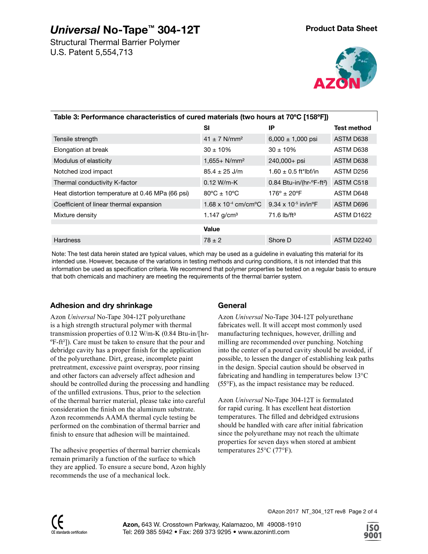Structural Thermal Barrier Polymer U.S. Patent 5,554,713



| Table 3: Performance characteristics of cured materials (two hours at 70°C [158°F]) |                                              |                                                      |                        |  |  |  |
|-------------------------------------------------------------------------------------|----------------------------------------------|------------------------------------------------------|------------------------|--|--|--|
|                                                                                     | SI                                           | ΙP                                                   | Test method            |  |  |  |
| Tensile strength                                                                    | $41 \pm 7$ N/mm <sup>2</sup>                 | $6,000 \pm 1,000$ psi                                | ASTM D638              |  |  |  |
| Elongation at break                                                                 | $30 \pm 10\%$                                | $30 \pm 10\%$                                        | ASTM D638              |  |  |  |
| Modulus of elasticity                                                               | $1,655+ N/mm2$                               | $240,000+$ psi                                       | ASTM D638              |  |  |  |
| Notched izod impact                                                                 | $85.4 \pm 25$ J/m                            | $1.60 \pm 0.5$ ft*lbf/in                             | ASTM D256              |  |  |  |
| Thermal conductivity K-factor                                                       | $0.12 W/m-K$                                 | $0.84$ Btu-in/(hr- $\textdegree$ F-ft <sup>2</sup> ) | ASTM C518              |  |  |  |
| Heat distortion temperature at 0.46 MPa (66 psi)                                    | $80^{\circ}$ C ± 10°C                        | $176^{\circ}$ ± 20 $^{\circ}$ F                      | ASTM D648              |  |  |  |
| Coefficient of linear thermal expansion                                             | 1.68 x 10 <sup>-4</sup> cm/cm <sup>o</sup> C | 9.34 x 10 <sup>-5</sup> in/in <sup>o</sup> F         | ASTM D696              |  |  |  |
| Mixture density                                                                     | 1.147 $g/cm3$                                | $71.6$ lb/ft <sup>3</sup>                            | ASTM D <sub>1622</sub> |  |  |  |
|                                                                                     | Value                                        |                                                      |                        |  |  |  |
| <b>Hardness</b>                                                                     | $78 \pm 2$                                   | Shore D                                              | ASTM D2240             |  |  |  |

Note: The test data herein stated are typical values, which may be used as a guideline in evaluating this material for its intended use. However, because of the variations in testing methods and curing conditions, it is not intended that this information be used as specification criteria. We recommend that polymer properties be tested on a regular basis to ensure that both chemicals and machinery are meeting the requirements of the thermal barrier system.

### **Adhesion and dry shrinkage**

Azon *Universal* No-Tape 304-12T polyurethane is a high strength structural polymer with thermal transmission properties of 0.12 W/m-K (0.84 Btu-in/[hr-ºF-ft²]). Care must be taken to ensure that the pour and debridge cavity has a proper finish for the application of the polyurethane. Dirt, grease, incomplete paint pretreatment, excessive paint overspray, poor rinsing and other factors can adversely affect adhesion and should be controlled during the processing and handling of the unfilled extrusions. Thus, prior to the selection of the thermal barrier material, please take into careful consideration the finish on the aluminum substrate. Azon recommends AAMA thermal cycle testing be performed on the combination of thermal barrier and finish to ensure that adhesion will be maintained.

The adhesive properties of thermal barrier chemicals remain primarily a function of the surface to which they are applied. To ensure a secure bond, Azon highly recommends the use of a mechanical lock.

### **General**

Azon *Universal* No-Tape 304-12T polyurethane fabricates well. It will accept most commonly used manufacturing techniques, however, drilling and milling are recommended over punching. Notching into the center of a poured cavity should be avoided, if possible, to lessen the danger of establishing leak paths in the design. Special caution should be observed in fabricating and handling in temperatures below 13°C (55°F), as the impact resistance may be reduced.

Azon *Universal* No-Tape 304-12T is formulated for rapid curing. It has excellent heat distortion temperatures. The filled and debridged extrusions should be handled with care after initial fabrication since the polyurethane may not reach the ultimate properties for seven days when stored at ambient temperatures 25°C (77°F).

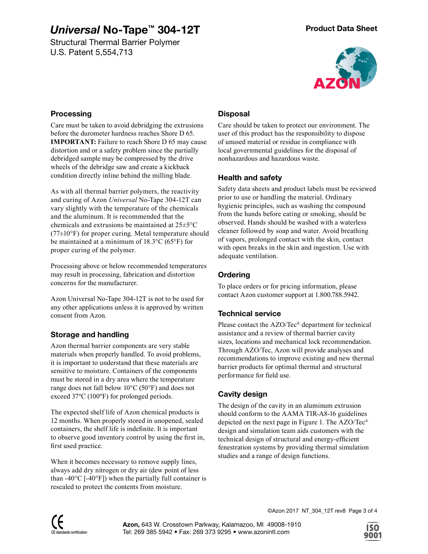Structural Thermal Barrier Polymer U.S. Patent 5,554,713



#### **Processing**

Care must be taken to avoid debridging the extrusions before the durometer hardness reaches Shore D 65. **IMPORTANT:** Failure to reach Shore D 65 may cause distortion and or a safety problem since the partially debridged sample may be compressed by the drive wheels of the debridge saw and create a kickback condition directly inline behind the milling blade.

As with all thermal barrier polymers, the reactivity and curing of Azon *Universal* No-Tape 304-12T can vary slightly with the temperature of the chemicals and the aluminum. It is recommended that the chemicals and extrusions be maintained at 25±5°C  $(77\pm10^{\circ}F)$  for proper curing. Metal temperature should be maintained at a minimum of 18.3°C (65°F) for proper curing of the polymer.

Processing above or below recommended temperatures may result in processing, fabrication and distortion concerns for the manufacturer.

Azon Universal No-Tape 304-12T is not to be used for any other applications unless it is approved by written consent from Azon.

## **Storage and handling**

Azon thermal barrier components are very stable materials when properly handled. To avoid problems, it is important to understand that these materials are sensitive to moisture. Containers of the components must be stored in a dry area where the temperature range does not fall below 10°C (50°F) and does not exceed 37ºC (100ºF) for prolonged periods.

The expected shelf life of Azon chemical products is 12 months. When properly stored in unopened, sealed containers, the shelf life is indefinite. It is important to observe good inventory control by using the first in, first used practice.

When it becomes necessary to remove supply lines, always add dry nitrogen or dry air (dew point of less than -40 $^{\circ}$ C [-40 $^{\circ}$ F]) when the partially full container is resealed to protect the contents from moisture.

### **Disposal**

Care should be taken to protect our environment. The user of this product has the responsibility to dispose of unused material or residue in compliance with local governmental guidelines for the disposal of nonhazardous and hazardous waste.

## **Health and safety**

Safety data sheets and product labels must be reviewed prior to use or handling the material. Ordinary hygienic principles, such as washing the compound from the hands before eating or smoking, should be observed. Hands should be washed with a waterless cleaner followed by soap and water. Avoid breathing of vapors, prolonged contact with the skin, contact with open breaks in the skin and ingestion. Use with adequate ventilation.

## **Ordering**

To place orders or for pricing information, please contact Azon customer support at 1.800.788.5942.

### **Technical service**

Please contact the AZO/Tec® department for technical assistance and a review of thermal barrier cavity sizes, locations and mechanical lock recommendation. Through AZO/Tec, Azon will provide analyses and recommendations to improve existing and new thermal barrier products for optimal thermal and structural performance for field use.

### **Cavity design**

The design of the cavity in an aluminum extrusion should conform to the AAMA TIR-A8-16 guidelines depicted on the next page in Figure 1. The AZO/Tec® design and simulation team aids customers with the technical design of structural and energy-efficient fenestration systems by providing thermal simulation studies and a range of design functions.

©Azon 2017 NT\_304\_12T rev8 Page 3 of 4